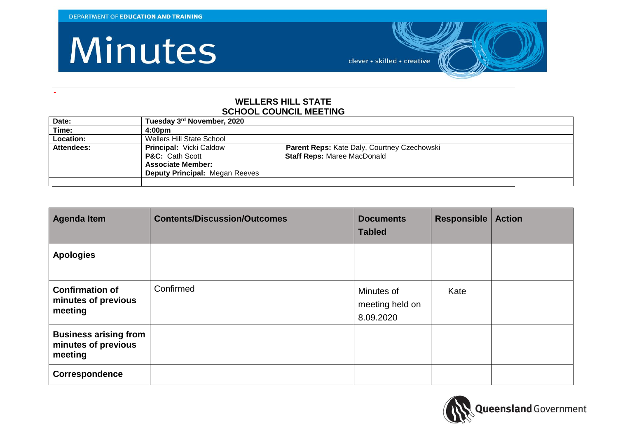**-**

#### Minutes

clever · skilled · creative

#### **WELLERS HILL STATE SCHOOL COUNCIL MEETING**

| Date:      | Tuesday 3rd November, 2020            |                                             |
|------------|---------------------------------------|---------------------------------------------|
| Time:      | 4:00 <sub>pm</sub>                    |                                             |
| Location:  | Wellers Hill State School             |                                             |
| Attendees: | <b>Principal: Vicki Caldow</b>        | Parent Reps: Kate Daly, Courtney Czechowski |
|            | <b>P&amp;C:</b> Cath Scott            | <b>Staff Reps: Maree MacDonald</b>          |
|            | <b>Associate Member:</b>              |                                             |
|            | <b>Deputy Principal: Megan Reeves</b> |                                             |
|            |                                       |                                             |

| <b>Agenda Item</b>                                             | <b>Contents/Discussion/Outcomes</b> | <b>Documents</b><br><b>Tabled</b>          | Responsible | <b>Action</b> |
|----------------------------------------------------------------|-------------------------------------|--------------------------------------------|-------------|---------------|
| <b>Apologies</b>                                               |                                     |                                            |             |               |
| <b>Confirmation of</b><br>minutes of previous<br>meeting       | Confirmed                           | Minutes of<br>meeting held on<br>8.09.2020 | Kate        |               |
| <b>Business arising from</b><br>minutes of previous<br>meeting |                                     |                                            |             |               |
| Correspondence                                                 |                                     |                                            |             |               |

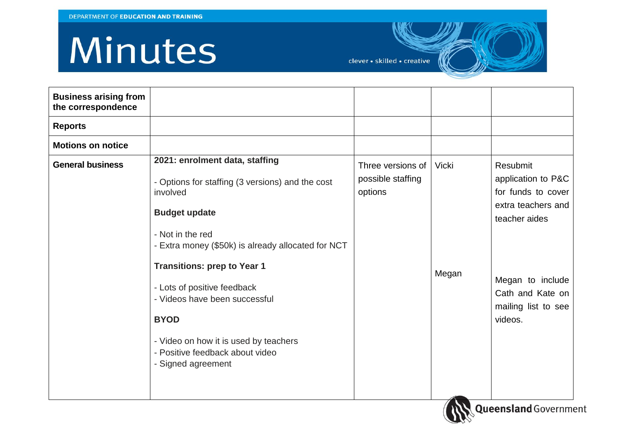# Minutes

clever · skilled · creative

| <b>Business arising from</b><br>the correspondence |                                                                                                                                                                                                                                                                                                                                                                                                                         |                                                   |                       |                                                                                                                                                                       |
|----------------------------------------------------|-------------------------------------------------------------------------------------------------------------------------------------------------------------------------------------------------------------------------------------------------------------------------------------------------------------------------------------------------------------------------------------------------------------------------|---------------------------------------------------|-----------------------|-----------------------------------------------------------------------------------------------------------------------------------------------------------------------|
| <b>Reports</b>                                     |                                                                                                                                                                                                                                                                                                                                                                                                                         |                                                   |                       |                                                                                                                                                                       |
| <b>Motions on notice</b>                           |                                                                                                                                                                                                                                                                                                                                                                                                                         |                                                   |                       |                                                                                                                                                                       |
| <b>General business</b>                            | 2021: enrolment data, staffing<br>- Options for staffing (3 versions) and the cost<br>involved<br><b>Budget update</b><br>- Not in the red<br>- Extra money (\$50k) is already allocated for NCT<br><b>Transitions: prep to Year 1</b><br>- Lots of positive feedback<br>- Videos have been successful<br><b>BYOD</b><br>- Video on how it is used by teachers<br>- Positive feedback about video<br>- Signed agreement | Three versions of<br>possible staffing<br>options | <b>Vicki</b><br>Megan | Resubmit<br>application to P&C<br>for funds to cover<br>extra teachers and<br>teacher aides<br>Megan to include<br>Cath and Kate on<br>mailing list to see<br>videos. |
|                                                    |                                                                                                                                                                                                                                                                                                                                                                                                                         |                                                   |                       |                                                                                                                                                                       |

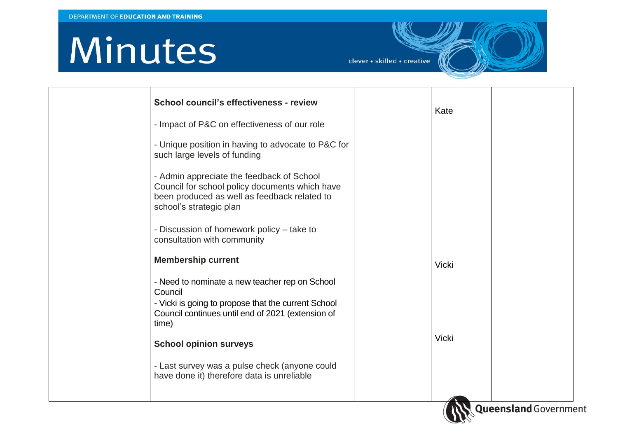# Minutes

clever • skilled • creative

| School council's effectiveness - review                                                                                                                                | Kate         |                              |  |
|------------------------------------------------------------------------------------------------------------------------------------------------------------------------|--------------|------------------------------|--|
| - Impact of P&C on effectiveness of our role                                                                                                                           |              |                              |  |
| - Unique position in having to advocate to P&C for<br>such large levels of funding                                                                                     |              |                              |  |
| - Admin appreciate the feedback of School<br>Council for school policy documents which have<br>been produced as well as feedback related to<br>school's strategic plan |              |                              |  |
| - Discussion of homework policy – take to<br>consultation with community                                                                                               |              |                              |  |
| <b>Membership current</b>                                                                                                                                              | <b>Vicki</b> |                              |  |
| - Need to nominate a new teacher rep on School<br>Council                                                                                                              |              |                              |  |
| - Vicki is going to propose that the current School<br>Council continues until end of 2021 (extension of<br>time)                                                      |              |                              |  |
| <b>School opinion surveys</b>                                                                                                                                          | <b>Vicki</b> |                              |  |
| - Last survey was a pulse check (anyone could<br>have done it) therefore data is unreliable                                                                            |              |                              |  |
|                                                                                                                                                                        |              | <b>Queensland</b> Government |  |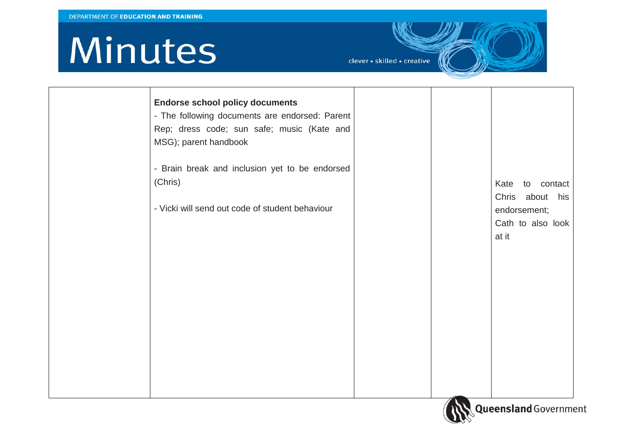## Minutes

clever · skilled · creative

| <b>Endorse school policy documents</b><br>- The following documents are endorsed: Parent<br>Rep; dress code; sun safe; music (Kate and<br>MSG); parent handbook |  |                                            |
|-----------------------------------------------------------------------------------------------------------------------------------------------------------------|--|--------------------------------------------|
| - Brain break and inclusion yet to be endorsed<br>(Chris)                                                                                                       |  | Kate<br>to contact<br>Chris about<br>his   |
| - Vicki will send out code of student behaviour                                                                                                                 |  | endorsement;<br>Cath to also look<br>at it |
|                                                                                                                                                                 |  |                                            |
|                                                                                                                                                                 |  |                                            |
|                                                                                                                                                                 |  |                                            |
|                                                                                                                                                                 |  |                                            |